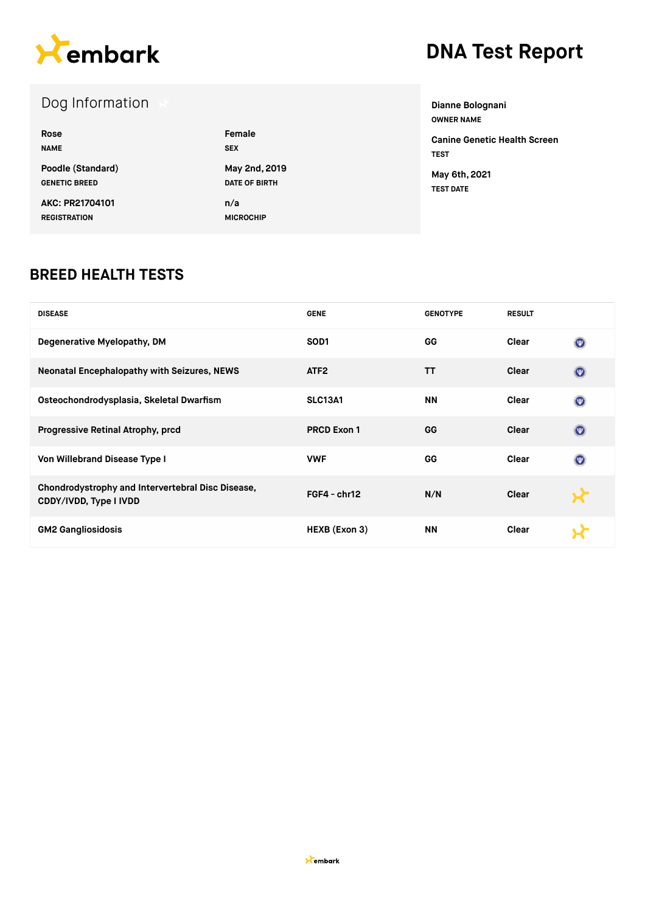

# **DNA Test Report**

### Dog Information

| Rose                 | Female               |
|----------------------|----------------------|
| <b>NAME</b>          | <b>SEX</b>           |
| Poodle (Standard)    | May 2nd, 2019        |
| <b>GENETIC BREED</b> | <b>DATE OF BIRTH</b> |
| AKC: PR21704101      | n/a                  |
| <b>REGISTRATION</b>  | <b>MICROCHIP</b>     |

**Dianne Bolognani OWNER NAME Canine Genetic Health Screen TEST May 6th, 2021 TEST DATE**

#### **BREED HEALTH TESTS**

| <b>DISEASE</b>                                                              | <b>GENE</b>        | <b>GENOTYPE</b> | <b>RESULT</b> |                |
|-----------------------------------------------------------------------------|--------------------|-----------------|---------------|----------------|
| Degenerative Myelopathy, DM                                                 | SOD <sub>1</sub>   | GG              | Clear         | $\circledcirc$ |
| <b>Neonatal Encephalopathy with Seizures, NEWS</b>                          | ATF <sub>2</sub>   | TΤ              | Clear         | $\odot$        |
| Osteochondrodysplasia, Skeletal Dwarfism                                    | <b>SLC13A1</b>     | <b>NN</b>       | Clear         | $\circledcirc$ |
| Progressive Retinal Atrophy, prcd                                           | <b>PRCD Exon 1</b> | GG              | Clear         | $\odot$        |
| Von Willebrand Disease Type I                                               | <b>VWF</b>         | GG              | Clear         | $\circledcirc$ |
| Chondrodystrophy and Intervertebral Disc Disease,<br>CDDY/IVDD, Type I IVDD | $FGF4 - chr12$     | N/N             | Clear         |                |
| <b>GM2 Gangliosidosis</b>                                                   | HEXB (Exon 3)      | ΝN              | Clear         |                |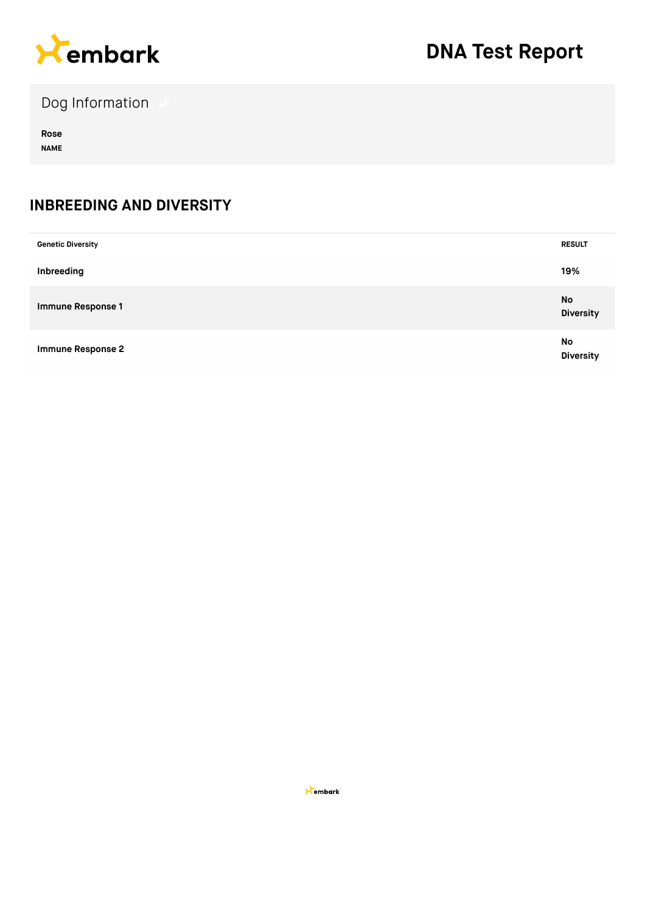

Dog Information

**Rose NAME**

#### **INBREEDING AND DIVERSITY**

| <b>Genetic Diversity</b> | <b>RESULT</b>                 |
|--------------------------|-------------------------------|
| Inbreeding               | 19%                           |
| <b>Immune Response 1</b> | <b>No</b><br><b>Diversity</b> |
| <b>Immune Response 2</b> | No<br><b>Diversity</b>        |

**X**embark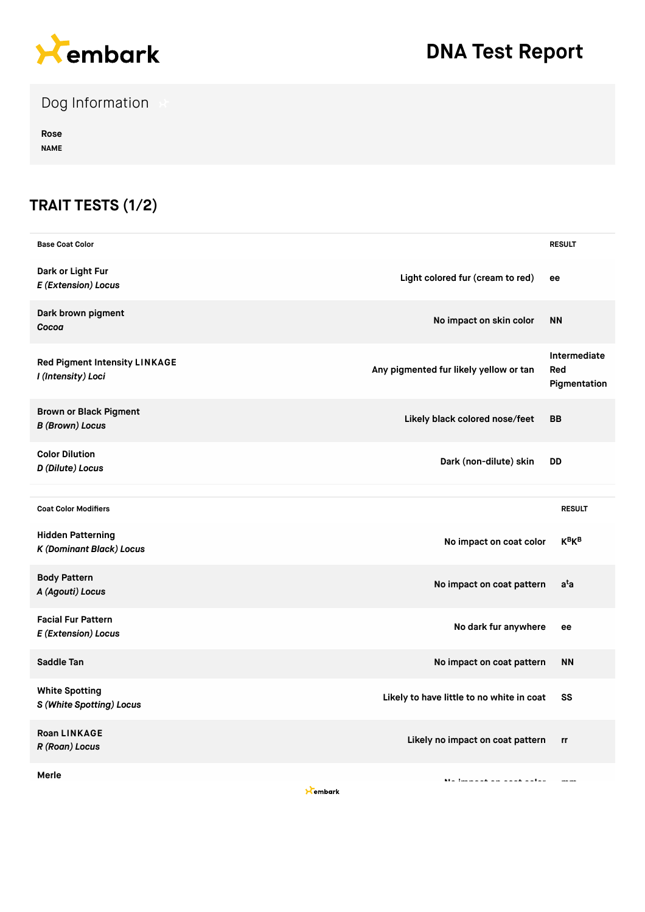

# **DNA Test Report**

Dog Information

**Rose NAME**

### **TRAIT TESTS (1/2)**

| <b>Base Coat Color</b>                                      |                                               | <b>RESULT</b>                       |
|-------------------------------------------------------------|-----------------------------------------------|-------------------------------------|
| Dark or Light Fur<br>E (Extension) Locus                    | Light colored fur (cream to red)<br>ee        |                                     |
| Dark brown pigment<br>Cocoa                                 | No impact on skin color                       | <b>NN</b>                           |
| Red Pigment Intensity LINKAGE<br>I (Intensity) Loci         | Any pigmented fur likely yellow or tan        | Intermediate<br>Red<br>Pigmentation |
| <b>Brown or Black Pigment</b><br><b>B</b> (Brown) Locus     | Likely black colored nose/feet                | <b>BB</b>                           |
| <b>Color Dilution</b><br>D (Dilute) Locus                   | Dark (non-dilute) skin                        | <b>DD</b>                           |
|                                                             |                                               |                                     |
| <b>Coat Color Modifiers</b>                                 |                                               | <b>RESULT</b>                       |
| <b>Hidden Patterning</b><br><b>K (Dominant Black) Locus</b> | No impact on coat color                       | <b>K<sub>B</sub>K<sub>B</sub></b>   |
| <b>Body Pattern</b><br>A (Agouti) Locus                     | No impact on coat pattern                     | a <sup>t</sup> a                    |
| <b>Facial Fur Pattern</b><br>E (Extension) Locus            | No dark fur anywhere                          | ee                                  |
| Saddle Tan                                                  | No impact on coat pattern                     | <b>NN</b>                           |
| <b>White Spotting</b><br>S (White Spotting) Locus           | Likely to have little to no white in coat     | SS                                  |
| <b>Roan LINKAGE</b><br>R (Roan) Locus                       | Likely no impact on coat pattern              | rr                                  |
| Merle                                                       | Machine and an annual antico<br>$\sim$ $\sim$ | $-$                                 |

Kembark